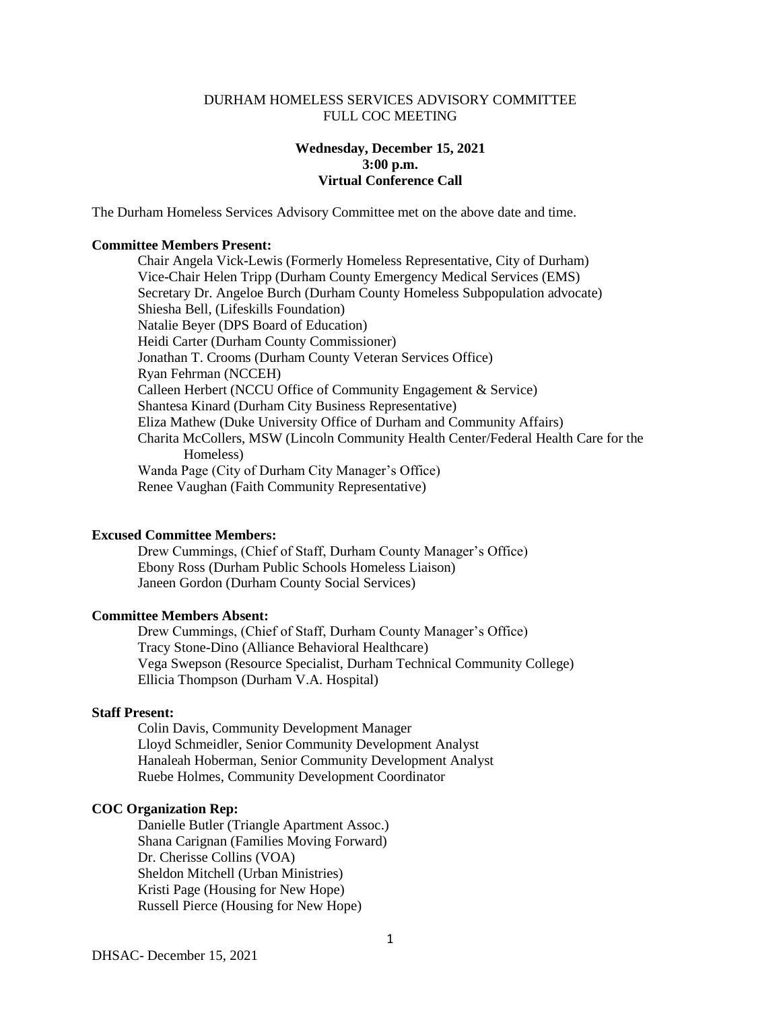### DURHAM HOMELESS SERVICES ADVISORY COMMITTEE FULL COC MEETING

# **Wednesday, December 15, 2021 3:00 p.m. Virtual Conference Call**

The Durham Homeless Services Advisory Committee met on the above date and time.

#### **Committee Members Present:**

Chair Angela Vick-Lewis (Formerly Homeless Representative, City of Durham) Vice-Chair Helen Tripp (Durham County Emergency Medical Services (EMS) Secretary Dr. Angeloe Burch (Durham County Homeless Subpopulation advocate) Shiesha Bell, (Lifeskills Foundation) Natalie Beyer (DPS Board of Education) Heidi Carter (Durham County Commissioner) Jonathan T. Crooms (Durham County Veteran Services Office) Ryan Fehrman (NCCEH) Calleen Herbert (NCCU Office of Community Engagement & Service) Shantesa Kinard (Durham City Business Representative) Eliza Mathew (Duke University Office of Durham and Community Affairs) Charita McCollers, MSW (Lincoln Community Health Center/Federal Health Care for the Homeless) Wanda Page (City of Durham City Manager's Office) Renee Vaughan (Faith Community Representative)

#### **Excused Committee Members:**

Drew Cummings, (Chief of Staff, Durham County Manager's Office) Ebony Ross (Durham Public Schools Homeless Liaison) Janeen Gordon (Durham County Social Services)

#### **Committee Members Absent:**

Drew Cummings, (Chief of Staff, Durham County Manager's Office) Tracy Stone-Dino (Alliance Behavioral Healthcare) Vega Swepson (Resource Specialist, Durham Technical Community College) Ellicia Thompson (Durham V.A. Hospital)

### **Staff Present:**

Colin Davis, Community Development Manager Lloyd Schmeidler, Senior Community Development Analyst Hanaleah Hoberman, Senior Community Development Analyst Ruebe Holmes, Community Development Coordinator

### **COC Organization Rep:**

Danielle Butler (Triangle Apartment Assoc.) Shana Carignan (Families Moving Forward) Dr. Cherisse Collins (VOA) Sheldon Mitchell (Urban Ministries) Kristi Page (Housing for New Hope) Russell Pierce (Housing for New Hope)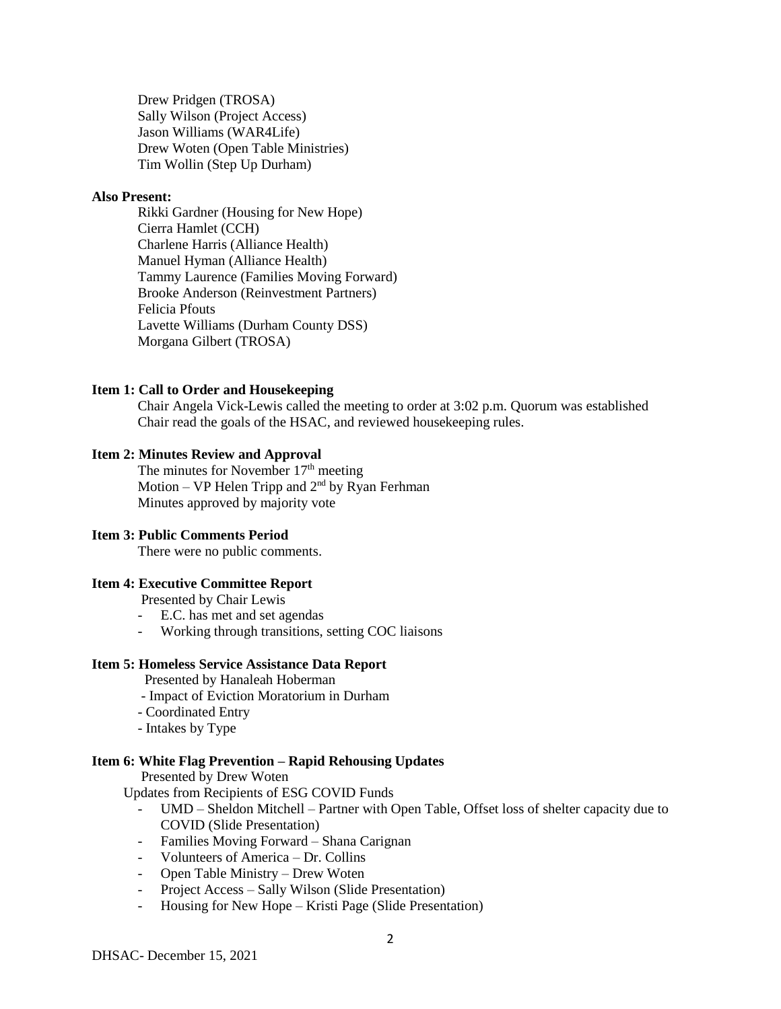Drew Pridgen (TROSA) Sally Wilson (Project Access) Jason Williams (WAR4Life) Drew Woten (Open Table Ministries) Tim Wollin (Step Up Durham)

# **Also Present:**

Rikki Gardner (Housing for New Hope) Cierra Hamlet (CCH) Charlene Harris (Alliance Health) Manuel Hyman (Alliance Health) Tammy Laurence (Families Moving Forward) Brooke Anderson (Reinvestment Partners) Felicia Pfouts Lavette Williams (Durham County DSS) Morgana Gilbert (TROSA)

### **Item 1: Call to Order and Housekeeping**

Chair Angela Vick-Lewis called the meeting to order at 3:02 p.m. Quorum was established Chair read the goals of the HSAC, and reviewed housekeeping rules.

# **Item 2: Minutes Review and Approval**

The minutes for November  $17<sup>th</sup>$  meeting Motion – VP Helen Tripp and  $2<sup>nd</sup>$  by Ryan Ferhman Minutes approved by majority vote

### **Item 3: Public Comments Period**

There were no public comments.

## **Item 4: Executive Committee Report**

Presented by Chair Lewis

- E.C. has met and set agendas
- Working through transitions, setting COC liaisons

### **Item 5: Homeless Service Assistance Data Report**

Presented by Hanaleah Hoberman

- Impact of Eviction Moratorium in Durham
- Coordinated Entry
- Intakes by Type

### **Item 6: White Flag Prevention – Rapid Rehousing Updates**

Presented by Drew Woten

Updates from Recipients of ESG COVID Funds

- UMD Sheldon Mitchell Partner with Open Table, Offset loss of shelter capacity due to COVID (Slide Presentation)
- Families Moving Forward Shana Carignan
- Volunteers of America Dr. Collins
- Open Table Ministry Drew Woten
- Project Access Sally Wilson (Slide Presentation)
- Housing for New Hope Kristi Page (Slide Presentation)